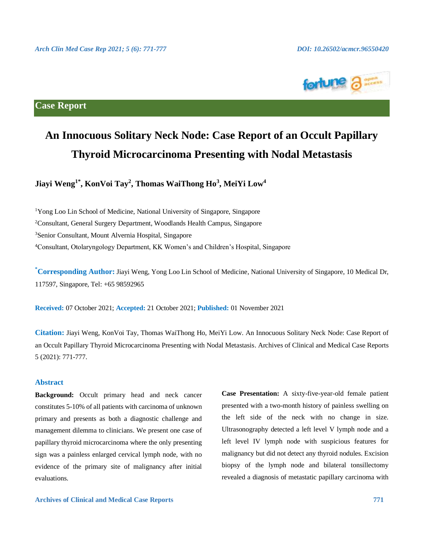

### **Case Report**

# **An Innocuous Solitary Neck Node: Case Report of an Occult Papillary Thyroid Microcarcinoma Presenting with Nodal Metastasis**

**Jiayi Weng1\* , KonVoi Tay<sup>2</sup> , Thomas WaiThong Ho<sup>3</sup> , MeiYi Low<sup>4</sup>**

<sup>1</sup>Yong Loo Lin School of Medicine, National University of Singapore, Singapore Consultant, General Surgery Department, Woodlands Health Campus, Singapore Senior Consultant, Mount Alvernia Hospital, Singapore Consultant, Otolaryngology Department, KK Women's and Children's Hospital, Singapore

**\*Corresponding Author:** Jiayi Weng, Yong Loo Lin School of Medicine, National University of Singapore, 10 Medical Dr, 117597, Singapore, Tel: +65 98592965

**Received:** 07 October 2021; **Accepted:** 21 October 2021; **Published:** 01 November 2021

**Citation:** Jiayi Weng, KonVoi Tay, Thomas WaiThong Ho, MeiYi Low. An Innocuous Solitary Neck Node: Case Report of an Occult Papillary Thyroid Microcarcinoma Presenting with Nodal Metastasis. Archives of Clinical and Medical Case Reports 5 (2021): 771-777.

### **Abstract**

**Background:** Occult primary head and neck cancer constitutes 5-10% of all patients with carcinoma of unknown primary and presents as both a diagnostic challenge and management dilemma to clinicians. We present one case of papillary thyroid microcarcinoma where the only presenting sign was a painless enlarged cervical lymph node, with no evidence of the primary site of malignancy after initial evaluations.

**Case Presentation:** A sixty-five-year-old female patient presented with a two-month history of painless swelling on the left side of the neck with no change in size. Ultrasonography detected a left level V lymph node and a left level IV lymph node with suspicious features for malignancy but did not detect any thyroid nodules. Excision biopsy of the lymph node and bilateral tonsillectomy revealed a diagnosis of metastatic papillary carcinoma with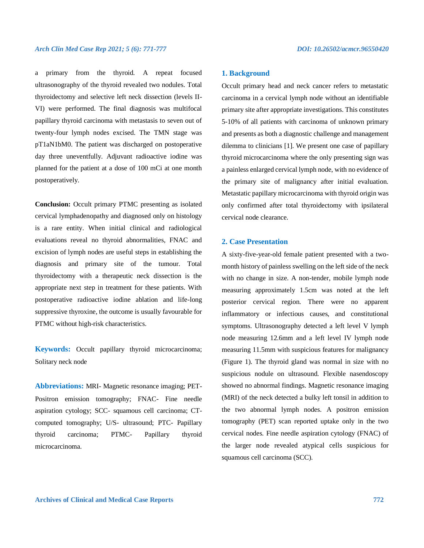a primary from the thyroid. A repeat focused ultrasonography of the thyroid revealed two nodules. Total thyroidectomy and selective left neck dissection (levels II-VI) were performed. The final diagnosis was multifocal papillary thyroid carcinoma with metastasis to seven out of twenty-four lymph nodes excised. The TMN stage was pT1aN1bM0. The patient was discharged on postoperative day three uneventfully. Adjuvant radioactive iodine was planned for the patient at a dose of 100 mCi at one month postoperatively.

**Conclusion:** Occult primary PTMC presenting as isolated cervical lymphadenopathy and diagnosed only on histology is a rare entity. When initial clinical and radiological evaluations reveal no thyroid abnormalities, FNAC and excision of lymph nodes are useful steps in establishing the diagnosis and primary site of the tumour. Total thyroidectomy with a therapeutic neck dissection is the appropriate next step in treatment for these patients. With postoperative radioactive iodine ablation and life-long suppressive thyroxine, the outcome is usually favourable for PTMC without high-risk characteristics.

**Keywords:** Occult papillary thyroid microcarcinoma; Solitary neck node

**Abbreviations:** MRI- Magnetic resonance imaging; PET-Positron emission tomography; FNAC- Fine needle aspiration cytology; SCC- squamous cell carcinoma; CTcomputed tomography; U/S- ultrasound; PTC- Papillary thyroid carcinoma; PTMC- Papillary thyroid microcarcinoma.

### **1. Background**

Occult primary head and neck cancer refers to metastatic carcinoma in a cervical lymph node without an identifiable primary site after appropriate investigations. This constitutes 5-10% of all patients with carcinoma of unknown primary and presents as both a diagnostic challenge and management dilemma to clinicians [1]. We present one case of papillary thyroid microcarcinoma where the only presenting sign was a painless enlarged cervical lymph node, with no evidence of the primary site of malignancy after initial evaluation. Metastatic papillary microcarcinoma with thyroid origin was only confirmed after total thyroidectomy with ipsilateral cervical node clearance.

### **2. Case Presentation**

A sixty-five-year-old female patient presented with a twomonth history of painless swelling on the left side of the neck with no change in size. A non-tender, mobile lymph node measuring approximately 1.5cm was noted at the left posterior cervical region. There were no apparent inflammatory or infectious causes, and constitutional symptoms. Ultrasonography detected a left level V lymph node measuring 12.6mm and a left level IV lymph node measuring 11.5mm with suspicious features for malignancy (Figure 1). The thyroid gland was normal in size with no suspicious nodule on ultrasound. Flexible nasendoscopy showed no abnormal findings. Magnetic resonance imaging (MRI) of the neck detected a bulky left tonsil in addition to the two abnormal lymph nodes. A positron emission tomography (PET) scan reported uptake only in the two cervical nodes. Fine needle aspiration cytology (FNAC) of the larger node revealed atypical cells suspicious for squamous cell carcinoma (SCC).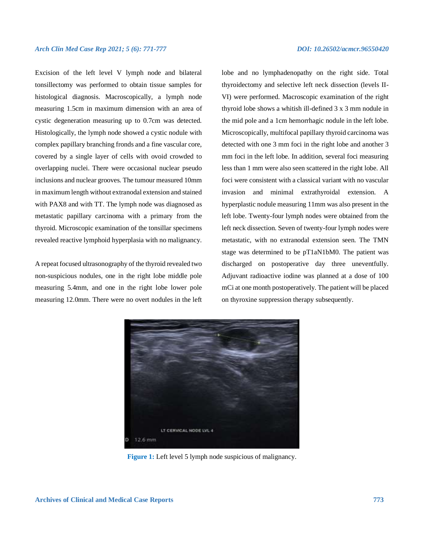### *Arch Clin Med Case Rep 2021; 5 (6): 771-777 DOI: 10.26502/acmcr.96550420*

Excision of the left level V lymph node and bilateral tonsillectomy was performed to obtain tissue samples for histological diagnosis. Macroscopically, a lymph node measuring 1.5cm in maximum dimension with an area of cystic degeneration measuring up to 0.7cm was detected. Histologically, the lymph node showed a cystic nodule with complex papillary branching fronds and a fine vascular core, covered by a single layer of cells with ovoid crowded to overlapping nuclei. There were occasional nuclear pseudo inclusions and nuclear grooves. The tumour measured 10mm in maximum length without extranodal extension and stained with PAX8 and with TT. The lymph node was diagnosed as metastatic papillary carcinoma with a primary from the thyroid. Microscopic examination of the tonsillar specimens revealed reactive lymphoid hyperplasia with no malignancy.

A repeat focused ultrasonography of the thyroid revealed two non-suspicious nodules, one in the right lobe middle pole measuring 5.4mm, and one in the right lobe lower pole measuring 12.0mm. There were no overt nodules in the left lobe and no lymphadenopathy on the right side. Total thyroidectomy and selective left neck dissection (levels II-VI) were performed. Macroscopic examination of the right thyroid lobe shows a whitish ill-defined 3 x 3 mm nodule in the mid pole and a 1cm hemorrhagic nodule in the left lobe. Microscopically, multifocal papillary thyroid carcinoma was detected with one 3 mm foci in the right lobe and another 3 mm foci in the left lobe. In addition, several foci measuring less than 1 mm were also seen scattered in the right lobe. All foci were consistent with a classical variant with no vascular invasion and minimal extrathyroidal extension. A hyperplastic nodule measuring 11mm was also present in the left lobe. Twenty-four lymph nodes were obtained from the left neck dissection. Seven of twenty-four lymph nodes were metastatic, with no extranodal extension seen. The TMN stage was determined to be pT1aN1bM0. The patient was discharged on postoperative day three uneventfully. Adjuvant radioactive iodine was planned at a dose of 100 mCi at one month postoperatively. The patient will be placed on thyroxine suppression therapy subsequently.



**Figure 1:** Left level 5 lymph node suspicious of malignancy.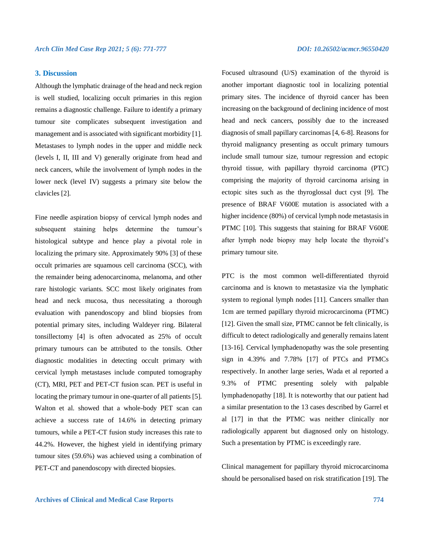### **3. Discussion**

Although the lymphatic drainage of the head and neck region is well studied, localizing occult primaries in this region remains a diagnostic challenge. Failure to identify a primary tumour site complicates subsequent investigation and management and is associated with significant morbidity [1]. Metastases to lymph nodes in the upper and middle neck (levels I, II, III and V) generally originate from head and neck cancers, while the involvement of lymph nodes in the lower neck (level IV) suggests a primary site below the clavicles [2].

Fine needle aspiration biopsy of cervical lymph nodes and subsequent staining helps determine the tumour's histological subtype and hence play a pivotal role in localizing the primary site. Approximately 90% [3] of these occult primaries are squamous cell carcinoma (SCC), with the remainder being adenocarcinoma, melanoma, and other rare histologic variants. SCC most likely originates from head and neck mucosa, thus necessitating a thorough evaluation with panendoscopy and blind biopsies from potential primary sites, including Waldeyer ring. Bilateral tonsillectomy [4] is often advocated as 25% of occult primary tumours can be attributed to the tonsils. Other diagnostic modalities in detecting occult primary with cervical lymph metastases include computed tomography (CT), MRI, PET and PET-CT fusion scan. PET is useful in locating the primary tumour in one-quarter of all patients [5]. Walton et al. showed that a whole-body PET scan can achieve a success rate of 14.6% in detecting primary tumours, while a PET-CT fusion study increases this rate to 44.2%. However, the highest yield in identifying primary tumour sites (59.6%) was achieved using a combination of PET-CT and panendoscopy with directed biopsies.

Focused ultrasound (U/S) examination of the thyroid is another important diagnostic tool in localizing potential primary sites. The incidence of thyroid cancer has been increasing on the background of declining incidence of most head and neck cancers, possibly due to the increased diagnosis of small papillary carcinomas [4, 6-8]. Reasons for thyroid malignancy presenting as occult primary tumours include small tumour size, tumour regression and ectopic thyroid tissue, with papillary thyroid carcinoma (PTC) comprising the majority of thyroid carcinoma arising in ectopic sites such as the thyroglossal duct cyst [9]. The presence of BRAF V600E mutation is associated with a higher incidence (80%) of cervical lymph node metastasis in PTMC [10]. This suggests that staining for BRAF V600E after lymph node biopsy may help locate the thyroid's primary tumour site.

PTC is the most common well-differentiated thyroid carcinoma and is known to metastasize via the lymphatic system to regional lymph nodes [11]. Cancers smaller than 1cm are termed papillary thyroid microcarcinoma (PTMC) [12]. Given the small size, PTMC cannot be felt clinically, is difficult to detect radiologically and generally remains latent [13-16]. Cervical lymphadenopathy was the sole presenting sign in 4.39% and 7.78% [17] of PTCs and PTMCs respectively. In another large series, Wada et al reported a 9.3% of PTMC presenting solely with palpable lymphadenopathy [18]. It is noteworthy that our patient had a similar presentation to the 13 cases described by Garrel et al [17] in that the PTMC was neither clinically nor radiologically apparent but diagnosed only on histology. Such a presentation by PTMC is exceedingly rare.

Clinical management for papillary thyroid microcarcinoma should be personalised based on risk stratification [19]. The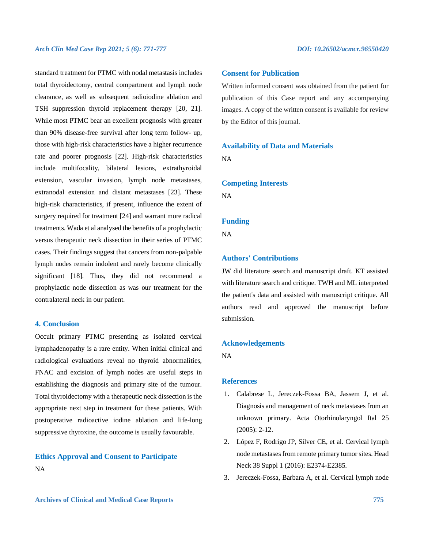### *Arch Clin Med Case Rep 2021; 5 (6): 771-777 DOI: 10.26502/acmcr.96550420*

standard treatment for PTMC with nodal metastasis includes total thyroidectomy, central compartment and lymph node clearance, as well as subsequent radioiodine ablation and TSH suppression thyroid replacement therapy [20, 21]. While most PTMC bear an excellent prognosis with greater than 90% disease-free survival after long term follow- up, those with high-risk characteristics have a higher recurrence rate and poorer prognosis [22]. High-risk characteristics include multifocality, bilateral lesions, extrathyroidal extension, vascular invasion, lymph node metastases, extranodal extension and distant metastases [23]. These high-risk characteristics, if present, influence the extent of surgery required for treatment [24] and warrant more radical treatments. Wada et al analysed the benefits of a prophylactic versus therapeutic neck dissection in their series of PTMC cases. Their findings suggest that cancers from non-palpable lymph nodes remain indolent and rarely become clinically significant [18]. Thus, they did not recommend a prophylactic node dissection as was our treatment for the contralateral neck in our patient.

### **4. Conclusion**

Occult primary PTMC presenting as isolated cervical lymphadenopathy is a rare entity. When initial clinical and radiological evaluations reveal no thyroid abnormalities, FNAC and excision of lymph nodes are useful steps in establishing the diagnosis and primary site of the tumour. Total thyroidectomy with a therapeutic neck dissection is the appropriate next step in treatment for these patients. With postoperative radioactive iodine ablation and life-long suppressive thyroxine, the outcome is usually favourable.

## **Ethics Approval and Consent to Participate** NA

### **Consent for Publication**

Written informed consent was obtained from the patient for publication of this Case report and any accompanying images. A copy of the written consent is available for review by the Editor of this journal.

### **Availability of Data and Materials**

NA

### **Competing Interests**

NA

### **Funding**

NA

### **Authors' Contributions**

JW did literature search and manuscript draft. KT assisted with literature search and critique. TWH and ML interpreted the patient's data and assisted with manuscript critique. All authors read and approved the manuscript before submission.

### **Acknowledgements**

NA

### **References**

- 1. Calabrese L, Jereczek-Fossa BA, Jassem J, et al. Diagnosis and management of neck metastases from an unknown primary. Acta Otorhinolaryngol Ital 25 (2005): 2-12.
- 2. López F, Rodrigo JP, Silver CE, et al. Cervical lymph node metastases from remote primary tumor sites. Head Neck 38 Suppl 1 (2016): E2374-E2385.
- 3. Jereczek-Fossa, Barbara A, et al. Cervical lymph node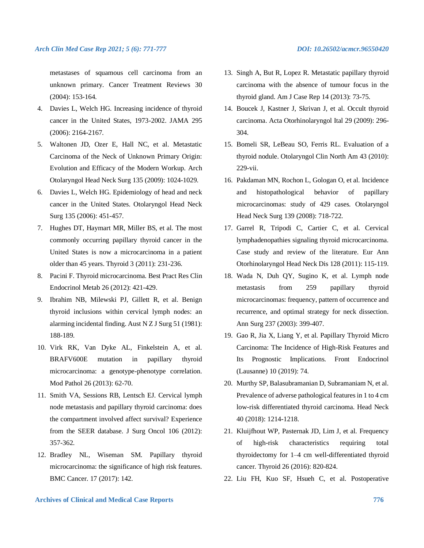metastases of squamous cell carcinoma from an unknown primary. Cancer Treatment Reviews 30 (2004): 153-164.

- 4. Davies L, Welch HG. Increasing incidence of thyroid cancer in the United States, 1973-2002. JAMA 295 (2006): 2164-2167.
- 5. Waltonen JD, Ozer E, Hall NC, et al. Metastatic Carcinoma of the Neck of Unknown Primary Origin: Evolution and Efficacy of the Modern Workup. Arch Otolaryngol Head Neck Surg 135 (2009): 1024-1029.
- 6. Davies L, Welch HG. Epidemiology of head and neck cancer in the United States. Otolaryngol Head Neck Surg 135 (2006): 451-457.
- 7. Hughes DT, Haymart MR, Miller BS, et al. The most commonly occurring papillary thyroid cancer in the United States is now a microcarcinoma in a patient older than 45 years. Thyroid 3 (2011): 231-236.
- 8. Pacini F. Thyroid microcarcinoma. Best Pract Res Clin Endocrinol Metab 26 (2012): 421-429.
- 9. Ibrahim NB, Milewski PJ, Gillett R, et al. Benign thyroid inclusions within cervical lymph nodes: an alarming incidental finding. Aust N Z J Surg 51 (1981): 188-189.
- 10. Virk RK, Van Dyke AL, Finkelstein A, et al. BRAFV600E mutation in papillary thyroid microcarcinoma: a genotype-phenotype correlation. Mod Pathol 26 (2013): 62-70.
- 11. Smith VA, Sessions RB, Lentsch EJ. Cervical lymph node metastasis and papillary thyroid carcinoma: does the compartment involved affect survival? Experience from the SEER database. J Surg Oncol 106 (2012): 357-362.
- 12. Bradley NL, Wiseman SM. Papillary thyroid microcarcinoma: the significance of high risk features. BMC Cancer. 17 (2017): 142.
- 13. Singh A, But R, Lopez R. Metastatic papillary thyroid carcinoma with the absence of tumour focus in the thyroid gland. Am J Case Rep 14 (2013): 73-75.
- 14. Boucek J, Kastner J, Skrivan J, et al. Occult thyroid carcinoma. Acta Otorhinolaryngol Ital 29 (2009): 296- 304.
- 15. Bomeli SR, LeBeau SO, Ferris RL. Evaluation of a thyroid nodule. Otolaryngol Clin North Am 43 (2010): 229-vii.
- 16. Pakdaman MN, Rochon L, Gologan O, et al. Incidence and histopathological behavior of papillary microcarcinomas: study of 429 cases. Otolaryngol Head Neck Surg 139 (2008): 718-722.
- 17. Garrel R, Tripodi C, Cartier C, et al. Cervical lymphadenopathies signaling thyroid microcarcinoma. Case study and review of the literature. Eur Ann Otorhinolaryngol Head Neck Dis 128 (2011): 115-119.
- 18. Wada N, Duh QY, Sugino K, et al. Lymph node metastasis from 259 papillary thyroid microcarcinomas: frequency, pattern of occurrence and recurrence, and optimal strategy for neck dissection. Ann Surg 237 (2003): 399-407.
- 19. Gao R, Jia X, Liang Y, et al. Papillary Thyroid Micro Carcinoma: The Incidence of High-Risk Features and Its Prognostic Implications. Front Endocrinol (Lausanne) 10 (2019): 74.
- 20. Murthy SP, Balasubramanian D, Subramaniam N, et al. Prevalence of adverse pathological features in 1 to 4 cm low-risk differentiated thyroid carcinoma. Head Neck 40 (2018): 1214-1218.
- 21. Kluijfhout WP, Pasternak JD, Lim J, et al. Frequency of high-risk characteristics requiring total thyroidectomy for 1–4 cm well-differentiated thyroid cancer. Thyroid 26 (2016): 820-824.
- 22. Liu FH, Kuo SF, Hsueh C, et al. Postoperative